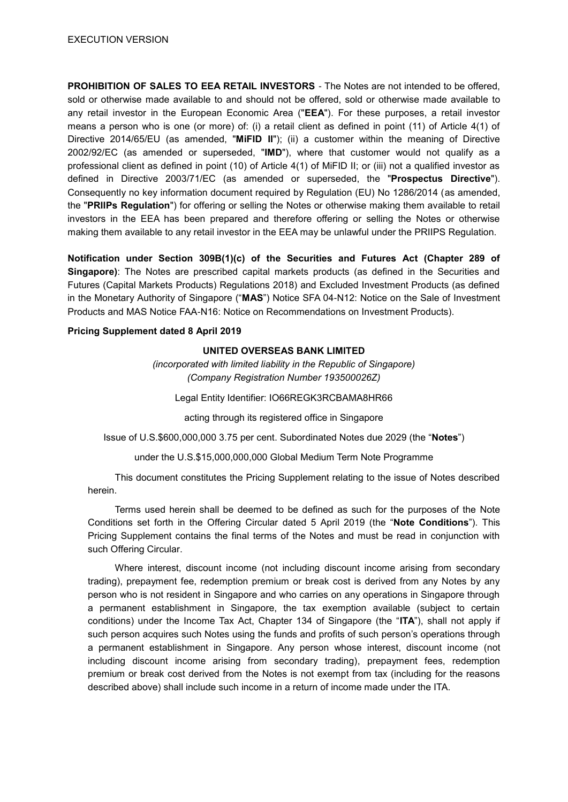**PROHIBITION OF SALES TO EEA RETAIL INVESTORS** - The Notes are not intended to be offered, sold or otherwise made available to and should not be offered, sold or otherwise made available to any retail investor in the European Economic Area ("**EEA**"). For these purposes, a retail investor means a person who is one (or more) of: (i) a retail client as defined in point (11) of Article 4(1) of Directive 2014/65/EU (as amended, "**MiFID II**"); (ii) a customer within the meaning of Directive 2002/92/EC (as amended or superseded, "**IMD**"), where that customer would not qualify as a professional client as defined in point (10) of Article 4(1) of MiFID II; or (iii) not a qualified investor as defined in Directive 2003/71/EC (as amended or superseded, the "**Prospectus Directive**"). Consequently no key information document required by Regulation (EU) No 1286/2014 (as amended, the "**PRIIPs Regulation**") for offering or selling the Notes or otherwise making them available to retail investors in the EEA has been prepared and therefore offering or selling the Notes or otherwise making them available to any retail investor in the EEA may be unlawful under the PRIIPS Regulation.

**Notification under Section 309B(1)(c) of the Securities and Futures Act (Chapter 289 of Singapore)**: The Notes are prescribed capital markets products (as defined in the Securities and Futures (Capital Markets Products) Regulations 2018) and Excluded Investment Products (as defined in the Monetary Authority of Singapore ("**MAS**") Notice SFA 04-N12: Notice on the Sale of Investment Products and MAS Notice FAA-N16: Notice on Recommendations on Investment Products).

## **Pricing Supplement dated 8 April 2019**

### **UNITED OVERSEAS BANK LIMITED**

*(incorporated with limited liability in the Republic of Singapore) (Company Registration Number 193500026Z)*

Legal Entity Identifier: IO66REGK3RCBAMA8HR66

acting through its registered office in Singapore

Issue of U.S.\$600,000,000 3.75 per cent. Subordinated Notes due 2029 (the "**Notes**")

under the U.S.\$15,000,000,000 Global Medium Term Note Programme

This document constitutes the Pricing Supplement relating to the issue of Notes described herein.

Terms used herein shall be deemed to be defined as such for the purposes of the Note Conditions set forth in the Offering Circular dated 5 April 2019 (the "**Note Conditions**"). This Pricing Supplement contains the final terms of the Notes and must be read in conjunction with such Offering Circular.

Where interest, discount income (not including discount income arising from secondary trading), prepayment fee, redemption premium or break cost is derived from any Notes by any person who is not resident in Singapore and who carries on any operations in Singapore through a permanent establishment in Singapore, the tax exemption available (subject to certain conditions) under the Income Tax Act, Chapter 134 of Singapore (the "**ITA**"), shall not apply if such person acquires such Notes using the funds and profits of such person's operations through a permanent establishment in Singapore. Any person whose interest, discount income (not including discount income arising from secondary trading), prepayment fees, redemption premium or break cost derived from the Notes is not exempt from tax (including for the reasons described above) shall include such income in a return of income made under the ITA.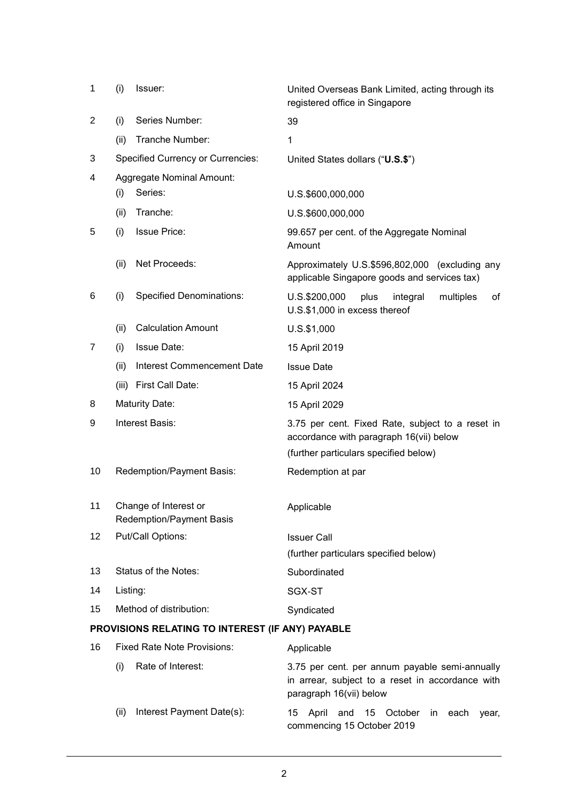| 1                                                | (i)                                                      | Issuer:                                  | United Overseas Bank Limited, acting through its<br>registered office in Singapore                                            |  |  |
|--------------------------------------------------|----------------------------------------------------------|------------------------------------------|-------------------------------------------------------------------------------------------------------------------------------|--|--|
| $\overline{c}$                                   | (i)                                                      | Series Number:                           | 39                                                                                                                            |  |  |
|                                                  | (ii)                                                     | Tranche Number:                          | $\mathbf{1}$                                                                                                                  |  |  |
| 3                                                |                                                          | <b>Specified Currency or Currencies:</b> | United States dollars ("U.S.\$")                                                                                              |  |  |
| 4                                                |                                                          | <b>Aggregate Nominal Amount:</b>         |                                                                                                                               |  |  |
|                                                  | (i)                                                      | Series:                                  | U.S.\$600,000,000                                                                                                             |  |  |
|                                                  | (ii)                                                     | Tranche:                                 | U.S.\$600,000,000                                                                                                             |  |  |
| 5                                                | (i)                                                      | <b>Issue Price:</b>                      | 99.657 per cent. of the Aggregate Nominal<br>Amount                                                                           |  |  |
|                                                  | (ii)                                                     | Net Proceeds:                            | Approximately U.S.\$596,802,000 (excluding any<br>applicable Singapore goods and services tax)                                |  |  |
| 6                                                | (i)                                                      | <b>Specified Denominations:</b>          | U.S.\$200,000<br>of<br>plus<br>integral<br>multiples<br>U.S.\$1,000 in excess thereof                                         |  |  |
|                                                  | (ii)                                                     | <b>Calculation Amount</b>                | U.S.\$1,000                                                                                                                   |  |  |
| 7                                                | (i)                                                      | <b>Issue Date:</b>                       | 15 April 2019                                                                                                                 |  |  |
|                                                  | (ii)                                                     | Interest Commencement Date               | <b>Issue Date</b>                                                                                                             |  |  |
|                                                  | (iii)                                                    | First Call Date:                         | 15 April 2024                                                                                                                 |  |  |
| 8                                                | <b>Maturity Date:</b>                                    |                                          | 15 April 2029                                                                                                                 |  |  |
| 9                                                | Interest Basis:                                          |                                          | 3.75 per cent. Fixed Rate, subject to a reset in<br>accordance with paragraph 16(vii) below                                   |  |  |
|                                                  |                                                          |                                          | (further particulars specified below)                                                                                         |  |  |
| 10                                               | Redemption/Payment Basis:                                |                                          | Redemption at par                                                                                                             |  |  |
| 11                                               | Change of Interest or<br><b>Redemption/Payment Basis</b> |                                          | Applicable                                                                                                                    |  |  |
| 12                                               | Put/Call Options:                                        |                                          | <b>Issuer Call</b>                                                                                                            |  |  |
|                                                  |                                                          |                                          | (further particulars specified below)                                                                                         |  |  |
| 13                                               | Status of the Notes:                                     |                                          | Subordinated                                                                                                                  |  |  |
| 14                                               | Listing:                                                 |                                          | SGX-ST                                                                                                                        |  |  |
| 15                                               | Method of distribution:                                  |                                          | Syndicated                                                                                                                    |  |  |
| PROVISIONS RELATING TO INTEREST (IF ANY) PAYABLE |                                                          |                                          |                                                                                                                               |  |  |
| 16                                               |                                                          | <b>Fixed Rate Note Provisions:</b>       | Applicable                                                                                                                    |  |  |
|                                                  | (i)                                                      | Rate of Interest:                        | 3.75 per cent. per annum payable semi-annually<br>in arrear, subject to a reset in accordance with<br>paragraph 16(vii) below |  |  |

(ii) Interest Payment Date(s): 15 April and 15 October in each year, commencing 15 October 2019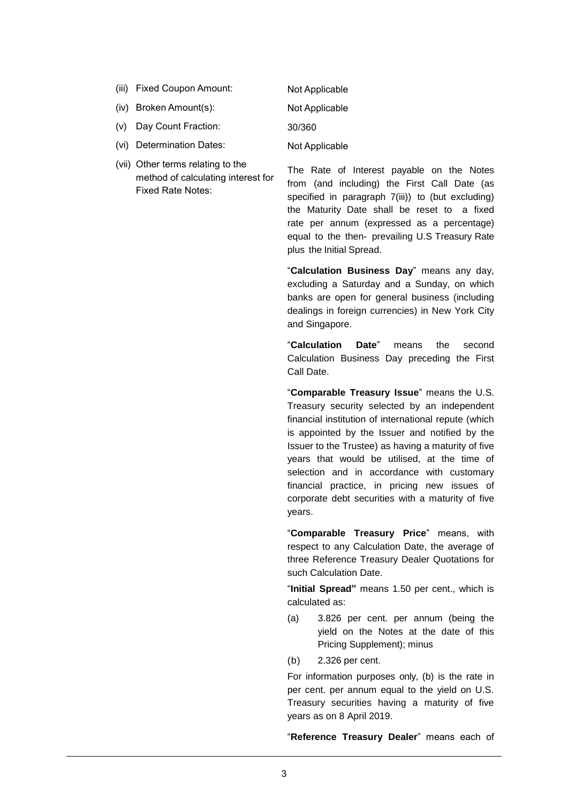- (iii) Fixed Coupon Amount: Not Applicable
- (iv) Broken Amount(s): Not Applicable
- (v) Day Count Fraction: 30/360
- (vi) Determination Dates: Not Applicable
- (vii) Other terms relating to the method of calculating interest for Fixed Rate Notes:

The Rate of Interest payable on the Notes from (and including) the First Call Date (as specified in paragraph 7(iii)) to (but excluding) the Maturity Date shall be reset to a fixed rate per annum (expressed as a percentage) equal to the then- prevailing U.S Treasury Rate plus the Initial Spread.

"**Calculation Business Day**" means any day, excluding a Saturday and a Sunday, on which banks are open for general business (including dealings in foreign currencies) in New York City and Singapore.

"**Calculation Date**" means the second Calculation Business Day preceding the First Call Date.

"**Comparable Treasury Issue**" means the U.S. Treasury security selected by an independent financial institution of international repute (which is appointed by the Issuer and notified by the Issuer to the Trustee) as having a maturity of five years that would be utilised, at the time of selection and in accordance with customary financial practice, in pricing new issues of corporate debt securities with a maturity of five years.

"**Comparable Treasury Price**" means, with respect to any Calculation Date, the average of three Reference Treasury Dealer Quotations for such Calculation Date.

"**Initial Spread"** means 1.50 per cent., which is calculated as:

- (a) 3.826 per cent. per annum (being the yield on the Notes at the date of this Pricing Supplement); minus
- (b) 2.326 per cent.

For information purposes only, (b) is the rate in per cent. per annum equal to the yield on U.S. Treasury securities having a maturity of five years as on 8 April 2019.

"**Reference Treasury Dealer**" means each of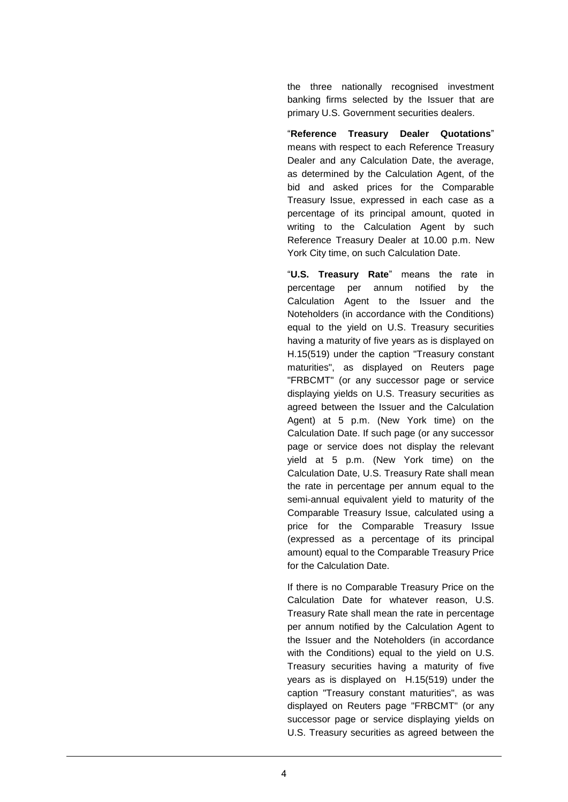the three nationally recognised investment banking firms selected by the Issuer that are primary U.S. Government securities dealers.

"**Reference Treasury Dealer Quotations**" means with respect to each Reference Treasury Dealer and any Calculation Date, the average, as determined by the Calculation Agent, of the bid and asked prices for the Comparable Treasury Issue, expressed in each case as a percentage of its principal amount, quoted in writing to the Calculation Agent by such Reference Treasury Dealer at 10.00 p.m. New York City time, on such Calculation Date.

"**U.S. Treasury Rate**" means the rate in percentage per annum notified by the Calculation Agent to the Issuer and the Noteholders (in accordance with the Conditions) equal to the yield on U.S. Treasury securities having a maturity of five years as is displayed on H.15(519) under the caption "Treasury constant maturities", as displayed on Reuters page "FRBCMT" (or any successor page or service displaying yields on U.S. Treasury securities as agreed between the Issuer and the Calculation Agent) at 5 p.m. (New York time) on the Calculation Date. If such page (or any successor page or service does not display the relevant yield at 5 p.m. (New York time) on the Calculation Date, U.S. Treasury Rate shall mean the rate in percentage per annum equal to the semi-annual equivalent yield to maturity of the Comparable Treasury Issue, calculated using a price for the Comparable Treasury Issue (expressed as a percentage of its principal amount) equal to the Comparable Treasury Price for the Calculation Date.

If there is no Comparable Treasury Price on the Calculation Date for whatever reason, U.S. Treasury Rate shall mean the rate in percentage per annum notified by the Calculation Agent to the Issuer and the Noteholders (in accordance with the Conditions) equal to the yield on U.S. Treasury securities having a maturity of five years as is displayed on H.15(519) under the caption "Treasury constant maturities", as was displayed on Reuters page "FRBCMT" (or any successor page or service displaying yields on U.S. Treasury securities as agreed between the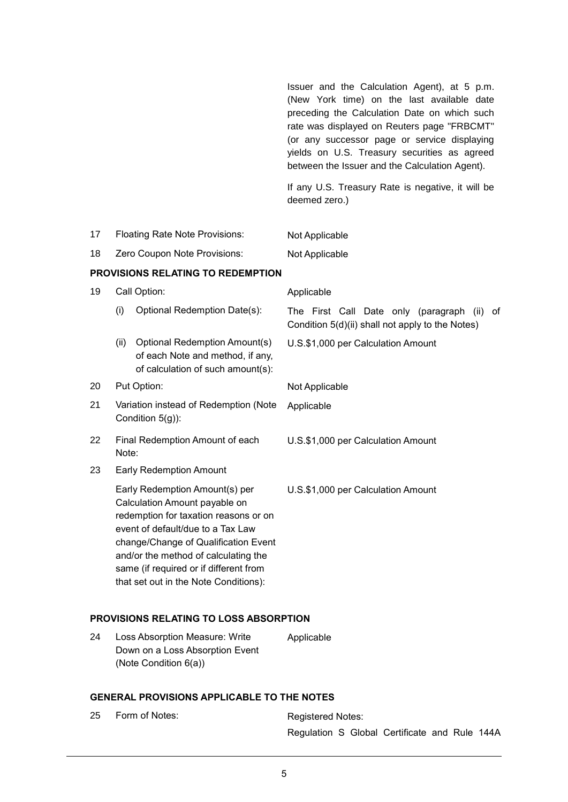|                                          |                                                           |                                                                                                               | Issuer and the Calculation Agent), at 5 p.m.<br>(New York time) on the last available date<br>preceding the Calculation Date on which such<br>rate was displayed on Reuters page "FRBCMT"<br>(or any successor page or service displaying<br>yields on U.S. Treasury securities as agreed<br>between the Issuer and the Calculation Agent). |
|------------------------------------------|-----------------------------------------------------------|---------------------------------------------------------------------------------------------------------------|---------------------------------------------------------------------------------------------------------------------------------------------------------------------------------------------------------------------------------------------------------------------------------------------------------------------------------------------|
|                                          |                                                           |                                                                                                               | If any U.S. Treasury Rate is negative, it will be<br>deemed zero.)                                                                                                                                                                                                                                                                          |
| 17                                       | <b>Floating Rate Note Provisions:</b>                     |                                                                                                               | Not Applicable                                                                                                                                                                                                                                                                                                                              |
| 18                                       |                                                           | Zero Coupon Note Provisions:                                                                                  | Not Applicable                                                                                                                                                                                                                                                                                                                              |
| <b>PROVISIONS RELATING TO REDEMPTION</b> |                                                           |                                                                                                               |                                                                                                                                                                                                                                                                                                                                             |
| 19                                       |                                                           | Call Option:                                                                                                  | Applicable                                                                                                                                                                                                                                                                                                                                  |
|                                          | (i)                                                       | Optional Redemption Date(s):                                                                                  | The First Call Date only (paragraph<br>0f<br>(ii)<br>Condition 5(d)(ii) shall not apply to the Notes)                                                                                                                                                                                                                                       |
|                                          | (ii)                                                      | <b>Optional Redemption Amount(s)</b><br>of each Note and method, if any,<br>of calculation of such amount(s): | U.S.\$1,000 per Calculation Amount                                                                                                                                                                                                                                                                                                          |
| 20                                       | Put Option:                                               |                                                                                                               | Not Applicable                                                                                                                                                                                                                                                                                                                              |
| 21                                       | Variation instead of Redemption (Note<br>Condition 5(g)): |                                                                                                               | Applicable                                                                                                                                                                                                                                                                                                                                  |

- 22 Final Redemption Amount of each Note: U.S.\$1,000 per Calculation Amount
- 23 Early Redemption Amount

Early Redemption Amount(s) per Calculation Amount payable on redemption for taxation reasons or on event of default/due to a Tax Law change/Change of Qualification Event and/or the method of calculating the same (if required or if different from that set out in the Note Conditions):

## **PROVISIONS RELATING TO LOSS ABSORPTION**

24 Loss Absorption Measure: Write Down on a Loss Absorption Event (Note Condition 6(a)) Applicable

## **GENERAL PROVISIONS APPLICABLE TO THE NOTES**

25 Form of Notes: Registered Notes:

Regulation S Global Certificate and Rule 144A

U.S.\$1,000 per Calculation Amount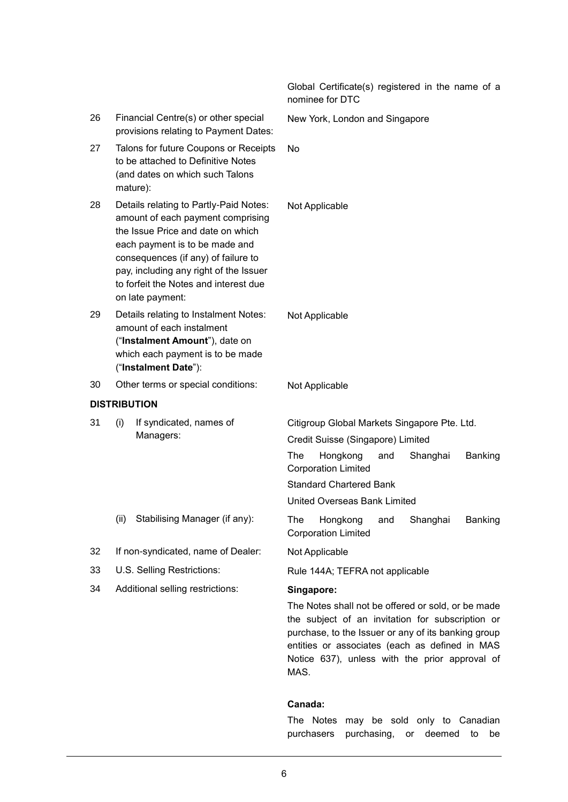|    |                                                                                                                                                                                                                                                                                                  | Global Certificate(s) registered in the name of a<br>nominee for DTC                                                                                                                                                                                              |
|----|--------------------------------------------------------------------------------------------------------------------------------------------------------------------------------------------------------------------------------------------------------------------------------------------------|-------------------------------------------------------------------------------------------------------------------------------------------------------------------------------------------------------------------------------------------------------------------|
| 26 | Financial Centre(s) or other special<br>provisions relating to Payment Dates:                                                                                                                                                                                                                    | New York, London and Singapore                                                                                                                                                                                                                                    |
| 27 | Talons for future Coupons or Receipts<br>to be attached to Definitive Notes<br>(and dates on which such Talons<br>mature):                                                                                                                                                                       | <b>No</b>                                                                                                                                                                                                                                                         |
| 28 | Details relating to Partly-Paid Notes:<br>amount of each payment comprising<br>the Issue Price and date on which<br>each payment is to be made and<br>consequences (if any) of failure to<br>pay, including any right of the Issuer<br>to forfeit the Notes and interest due<br>on late payment: | Not Applicable                                                                                                                                                                                                                                                    |
| 29 | Details relating to Instalment Notes:<br>amount of each instalment<br>("Instalment Amount"), date on<br>which each payment is to be made<br>("Instalment Date"):                                                                                                                                 | Not Applicable                                                                                                                                                                                                                                                    |
| 30 | Other terms or special conditions:                                                                                                                                                                                                                                                               | Not Applicable                                                                                                                                                                                                                                                    |
|    | <b>DISTRIBUTION</b>                                                                                                                                                                                                                                                                              |                                                                                                                                                                                                                                                                   |
| 31 | (i)<br>If syndicated, names of<br>Managers:                                                                                                                                                                                                                                                      | Citigroup Global Markets Singapore Pte. Ltd.<br>Credit Suisse (Singapore) Limited                                                                                                                                                                                 |
|    |                                                                                                                                                                                                                                                                                                  | Hongkong<br>The<br>and<br>Shanghai<br>Banking<br><b>Corporation Limited</b>                                                                                                                                                                                       |
|    |                                                                                                                                                                                                                                                                                                  | <b>Standard Chartered Bank</b>                                                                                                                                                                                                                                    |
|    |                                                                                                                                                                                                                                                                                                  | United Overseas Bank Limited                                                                                                                                                                                                                                      |
|    | Stabilising Manager (if any):<br>(ii)                                                                                                                                                                                                                                                            | The<br>Hongkong<br>and<br>Shanghai<br><b>Banking</b><br><b>Corporation Limited</b>                                                                                                                                                                                |
| 32 | If non-syndicated, name of Dealer:                                                                                                                                                                                                                                                               | Not Applicable                                                                                                                                                                                                                                                    |
| 33 | U.S. Selling Restrictions:                                                                                                                                                                                                                                                                       | Rule 144A; TEFRA not applicable                                                                                                                                                                                                                                   |
| 34 | Additional selling restrictions:                                                                                                                                                                                                                                                                 | Singapore:                                                                                                                                                                                                                                                        |
|    |                                                                                                                                                                                                                                                                                                  | The Notes shall not be offered or sold, or be made<br>the subject of an invitation for subscription or<br>purchase, to the Issuer or any of its banking group<br>entities or associates (each as defined in MAS<br>Notice 637), unless with the prior approval of |

# **Canada:**

MAS.

The Notes may be sold only to Canadian purchasers purchasing, or deemed to be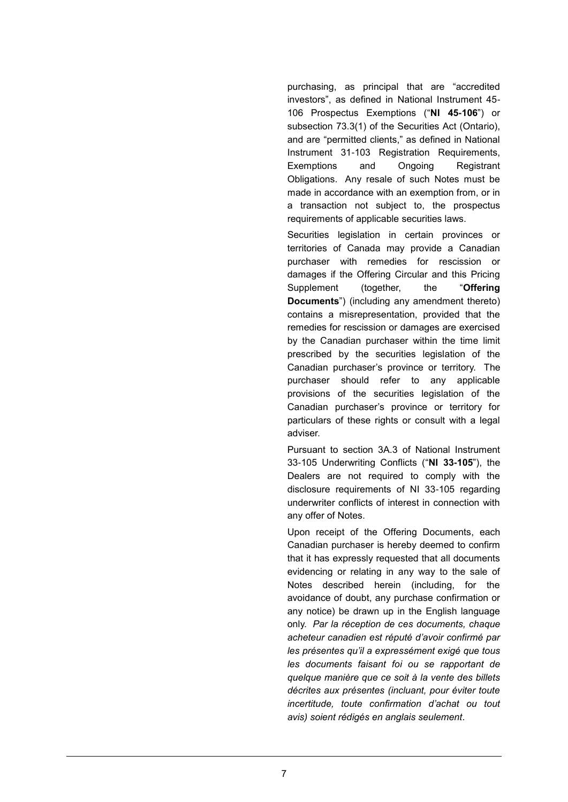purchasing, as principal that are "accredited investors", as defined in National Instrument 45- 106 Prospectus Exemptions ("**NI 45-106**") or subsection 73.3(1) of the Securities Act (Ontario), and are "permitted clients," as defined in National Instrument 31-103 Registration Requirements, Exemptions and Ongoing Registrant Obligations. Any resale of such Notes must be made in accordance with an exemption from, or in a transaction not subject to, the prospectus requirements of applicable securities laws.

Securities legislation in certain provinces or territories of Canada may provide a Canadian purchaser with remedies for rescission or damages if the Offering Circular and this Pricing Supplement (together, the "**Offering Documents**") (including any amendment thereto) contains a misrepresentation, provided that the remedies for rescission or damages are exercised by the Canadian purchaser within the time limit prescribed by the securities legislation of the Canadian purchaser's province or territory. The purchaser should refer to any applicable provisions of the securities legislation of the Canadian purchaser's province or territory for particulars of these rights or consult with a legal adviser.

Pursuant to section 3A.3 of National Instrument 33-105 Underwriting Conflicts ("**NI 33-105**"), the Dealers are not required to comply with the disclosure requirements of NI 33-105 regarding underwriter conflicts of interest in connection with any offer of Notes.

Upon receipt of the Offering Documents, each Canadian purchaser is hereby deemed to confirm that it has expressly requested that all documents evidencing or relating in any way to the sale of Notes described herein (including, for the avoidance of doubt, any purchase confirmation or any notice) be drawn up in the English language only. *Par la réception de ces documents, chaque acheteur canadien est réputé d'avoir confirmé par les présentes qu'il a expressément exigé que tous les documents faisant foi ou se rapportant de quelque manière que ce soit à la vente des billets décrites aux présentes (incluant, pour éviter toute incertitude, toute confirmation d'achat ou tout avis) soient rédigés en anglais seulement*.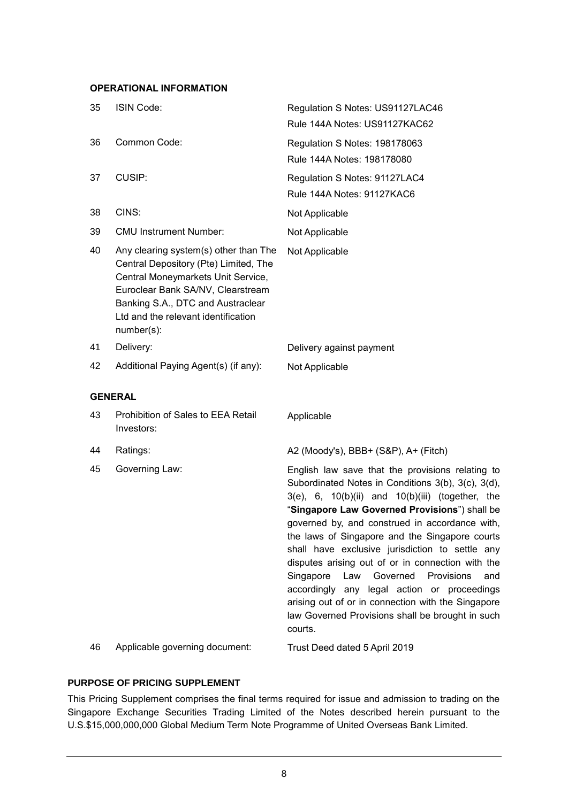# **OPERATIONAL INFORMATION**

| 35 | <b>ISIN Code:</b>                                                                                                                                                                                                                                   | Regulation S Notes: US91127LAC46<br>Rule 144A Notes: US91127KAC62                                                                                                                                                                                                                                                                                                                                                                                                                                                                                                                                                                                       |
|----|-----------------------------------------------------------------------------------------------------------------------------------------------------------------------------------------------------------------------------------------------------|---------------------------------------------------------------------------------------------------------------------------------------------------------------------------------------------------------------------------------------------------------------------------------------------------------------------------------------------------------------------------------------------------------------------------------------------------------------------------------------------------------------------------------------------------------------------------------------------------------------------------------------------------------|
| 36 | Common Code:                                                                                                                                                                                                                                        | Regulation S Notes: 198178063<br>Rule 144A Notes: 198178080                                                                                                                                                                                                                                                                                                                                                                                                                                                                                                                                                                                             |
| 37 | CUSIP:                                                                                                                                                                                                                                              | Regulation S Notes: 91127LAC4<br>Rule 144A Notes: 91127KAC6                                                                                                                                                                                                                                                                                                                                                                                                                                                                                                                                                                                             |
| 38 | CINS:                                                                                                                                                                                                                                               | Not Applicable                                                                                                                                                                                                                                                                                                                                                                                                                                                                                                                                                                                                                                          |
| 39 | <b>CMU Instrument Number:</b>                                                                                                                                                                                                                       | Not Applicable                                                                                                                                                                                                                                                                                                                                                                                                                                                                                                                                                                                                                                          |
| 40 | Any clearing system(s) other than The<br>Central Depository (Pte) Limited, The<br>Central Moneymarkets Unit Service,<br>Euroclear Bank SA/NV, Clearstream<br>Banking S.A., DTC and Austraclear<br>Ltd and the relevant identification<br>number(s): | Not Applicable                                                                                                                                                                                                                                                                                                                                                                                                                                                                                                                                                                                                                                          |
| 41 | Delivery:                                                                                                                                                                                                                                           | Delivery against payment                                                                                                                                                                                                                                                                                                                                                                                                                                                                                                                                                                                                                                |
| 42 | Additional Paying Agent(s) (if any):                                                                                                                                                                                                                | Not Applicable                                                                                                                                                                                                                                                                                                                                                                                                                                                                                                                                                                                                                                          |
|    | <b>GENERAL</b>                                                                                                                                                                                                                                      |                                                                                                                                                                                                                                                                                                                                                                                                                                                                                                                                                                                                                                                         |
| 43 | Prohibition of Sales to EEA Retail<br>Investors:                                                                                                                                                                                                    | Applicable                                                                                                                                                                                                                                                                                                                                                                                                                                                                                                                                                                                                                                              |
| 44 | Ratings:                                                                                                                                                                                                                                            | A2 (Moody's), BBB+ (S&P), A+ (Fitch)                                                                                                                                                                                                                                                                                                                                                                                                                                                                                                                                                                                                                    |
| 45 | Governing Law:                                                                                                                                                                                                                                      | English law save that the provisions relating to<br>Subordinated Notes in Conditions 3(b), 3(c), 3(d),<br>$3(e)$ , 6, $10(b)(ii)$ and $10(b)(iii)$ (together, the<br>"Singapore Law Governed Provisions") shall be<br>governed by, and construed in accordance with,<br>the laws of Singapore and the Singapore courts<br>shall have exclusive jurisdiction to settle any<br>disputes arising out of or in connection with the<br>Singapore<br>Governed<br>Provisions<br>Law<br>and<br>accordingly any legal action or proceedings<br>arising out of or in connection with the Singapore<br>law Governed Provisions shall be brought in such<br>courts. |
| 46 | Applicable governing document:                                                                                                                                                                                                                      | Trust Deed dated 5 April 2019                                                                                                                                                                                                                                                                                                                                                                                                                                                                                                                                                                                                                           |

# **PURPOSE OF PRICING SUPPLEMENT**

This Pricing Supplement comprises the final terms required for issue and admission to trading on the Singapore Exchange Securities Trading Limited of the Notes described herein pursuant to the U.S.\$15,000,000,000 Global Medium Term Note Programme of United Overseas Bank Limited.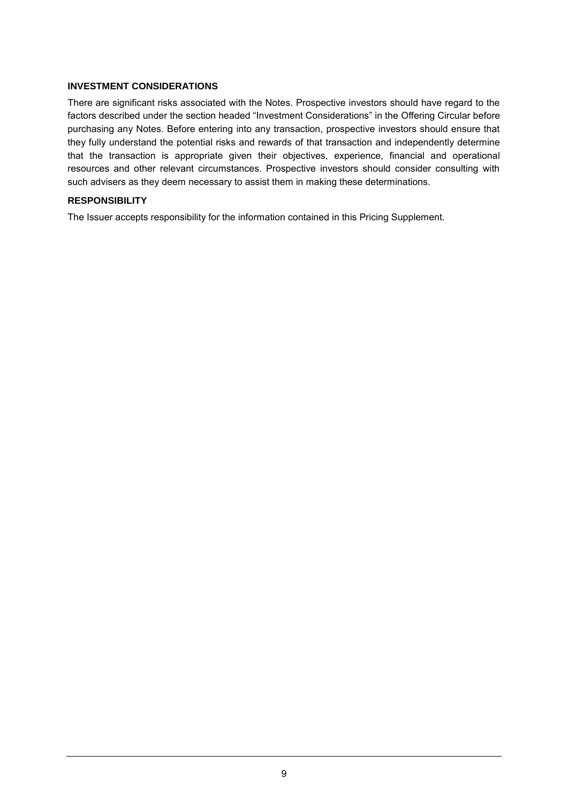## **INVESTMENT CONSIDERATIONS**

There are significant risks associated with the Notes. Prospective investors should have regard to the factors described under the section headed "Investment Considerations" in the Offering Circular before purchasing any Notes. Before entering into any transaction, prospective investors should ensure that they fully understand the potential risks and rewards of that transaction and independently determine that the transaction is appropriate given their objectives, experience, financial and operational resources and other relevant circumstances. Prospective investors should consider consulting with such advisers as they deem necessary to assist them in making these determinations.

### **RESPONSIBILITY**

The Issuer accepts responsibility for the information contained in this Pricing Supplement.